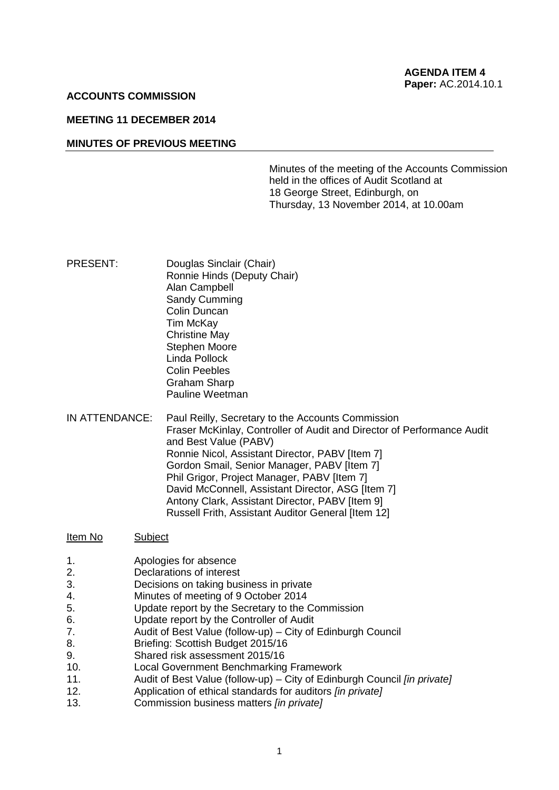### **ACCOUNTS COMMISSION**

### **MEETING 11 DECEMBER 2014**

## **MINUTES OF PREVIOUS MEETING**

Minutes of the meeting of the Accounts Commission held in the offices of Audit Scotland at 18 George Street, Edinburgh, on Thursday, 13 November 2014, at 10.00am

- PRESENT: Douglas Sinclair (Chair) Ronnie Hinds (Deputy Chair) Alan Campbell Sandy Cumming Colin Duncan Tim McKay Christine May Stephen Moore Linda Pollock Colin Peebles Graham Sharp Pauline Weetman
- IN ATTENDANCE: Paul Reilly, Secretary to the Accounts Commission Fraser McKinlay, Controller of Audit and Director of Performance Audit and Best Value (PABV) Ronnie Nicol, Assistant Director, PABV [Item 7] Gordon Smail, Senior Manager, PABV [Item 7] Phil Grigor, Project Manager, PABV [Item 7] David McConnell, Assistant Director, ASG [Item 7] Antony Clark, Assistant Director, PABV [Item 9] Russell Frith, Assistant Auditor General [Item 12]

#### Item No Subject

- 1. Apologies for absence
- 2. Declarations of interest
- 3. Decisions on taking business in private
- 4. Minutes of meeting of 9 October 2014
- 5. Update report by the Secretary to the Commission
- 6. Update report by the Controller of Audit
- 7. Audit of Best Value (follow-up) City of Edinburgh Council
- 8. Briefing: Scottish Budget 2015/16
- 9. Shared risk assessment 2015/16
- 10. Local Government Benchmarking Framework
- 11. Audit of Best Value (follow-up) City of Edinburgh Council *[in private]*
- 12. Application of ethical standards for auditors *[in private]*
- 13. Commission business matters *[in private]*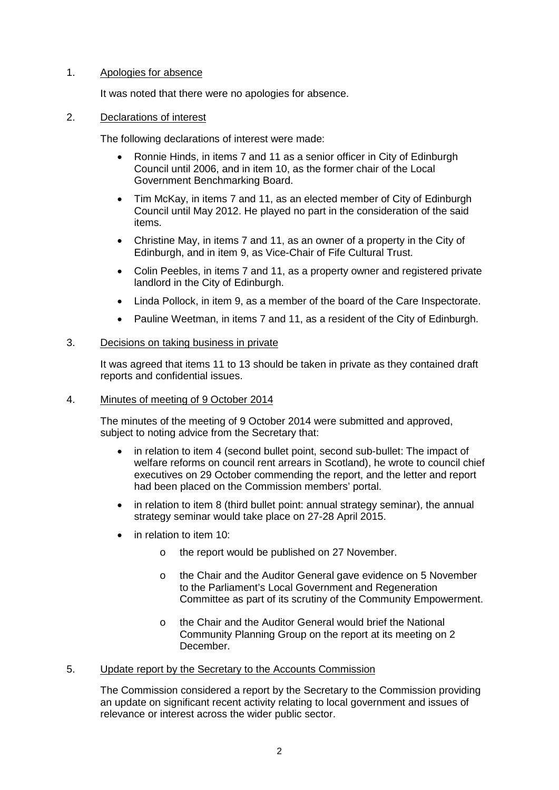# 1. Apologies for absence

It was noted that there were no apologies for absence.

## 2. Declarations of interest

The following declarations of interest were made:

- Ronnie Hinds, in items 7 and 11 as a senior officer in City of Edinburgh Council until 2006, and in item 10, as the former chair of the Local Government Benchmarking Board.
- Tim McKay, in items 7 and 11, as an elected member of City of Edinburgh Council until May 2012. He played no part in the consideration of the said items.
- Christine May, in items 7 and 11, as an owner of a property in the City of Edinburgh, and in item 9, as Vice-Chair of Fife Cultural Trust.
- Colin Peebles, in items 7 and 11, as a property owner and registered private landlord in the City of Edinburgh.
- Linda Pollock, in item 9, as a member of the board of the Care Inspectorate.
- Pauline Weetman, in items 7 and 11, as a resident of the City of Edinburgh.

## 3. Decisions on taking business in private

It was agreed that items 11 to 13 should be taken in private as they contained draft reports and confidential issues.

# 4. Minutes of meeting of 9 October 2014

The minutes of the meeting of 9 October 2014 were submitted and approved, subject to noting advice from the Secretary that:

- in relation to item 4 (second bullet point, second sub-bullet: The impact of welfare reforms on council rent arrears in Scotland), he wrote to council chief executives on 29 October commending the report, and the letter and report had been placed on the Commission members' portal.
- in relation to item 8 (third bullet point: annual strategy seminar), the annual strategy seminar would take place on 27-28 April 2015.
- in relation to item 10:
	- o the report would be published on 27 November.
	- o the Chair and the Auditor General gave evidence on 5 November to the Parliament's Local Government and Regeneration Committee as part of its scrutiny of the Community Empowerment.
	- o the Chair and the Auditor General would brief the National Community Planning Group on the report at its meeting on 2 December.

# 5. Update report by the Secretary to the Accounts Commission

The Commission considered a report by the Secretary to the Commission providing an update on significant recent activity relating to local government and issues of relevance or interest across the wider public sector.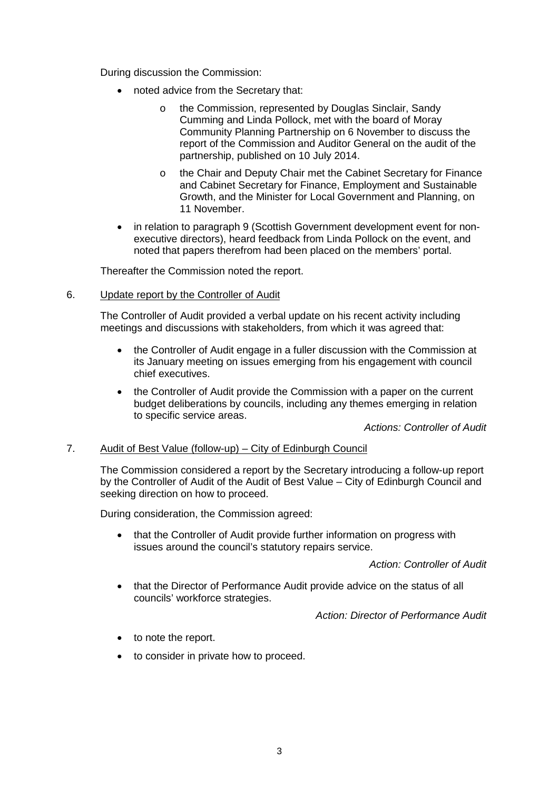During discussion the Commission:

- noted advice from the Secretary that:
	- o the Commission, represented by Douglas Sinclair, Sandy Cumming and Linda Pollock, met with the board of Moray Community Planning Partnership on 6 November to discuss the report of the Commission and Auditor General on the audit of the partnership, published on 10 July 2014.
	- o the Chair and Deputy Chair met the Cabinet Secretary for Finance and Cabinet Secretary for Finance, Employment and Sustainable Growth, and the Minister for Local Government and Planning, on 11 November.
- in relation to paragraph 9 (Scottish Government development event for nonexecutive directors), heard feedback from Linda Pollock on the event, and noted that papers therefrom had been placed on the members' portal.

Thereafter the Commission noted the report.

6. Update report by the Controller of Audit

The Controller of Audit provided a verbal update on his recent activity including meetings and discussions with stakeholders, from which it was agreed that:

- the Controller of Audit engage in a fuller discussion with the Commission at its January meeting on issues emerging from his engagement with council chief executives.
- the Controller of Audit provide the Commission with a paper on the current budget deliberations by councils, including any themes emerging in relation to specific service areas.

*Actions: Controller of Audit*

# 7. Audit of Best Value (follow-up) – City of Edinburgh Council

The Commission considered a report by the Secretary introducing a follow-up report by the Controller of Audit of the Audit of Best Value – City of Edinburgh Council and seeking direction on how to proceed.

During consideration, the Commission agreed:

• that the Controller of Audit provide further information on progress with issues around the council's statutory repairs service.

*Action: Controller of Audit*

• that the Director of Performance Audit provide advice on the status of all councils' workforce strategies.

*Action: Director of Performance Audit* 

- to note the report.
- to consider in private how to proceed.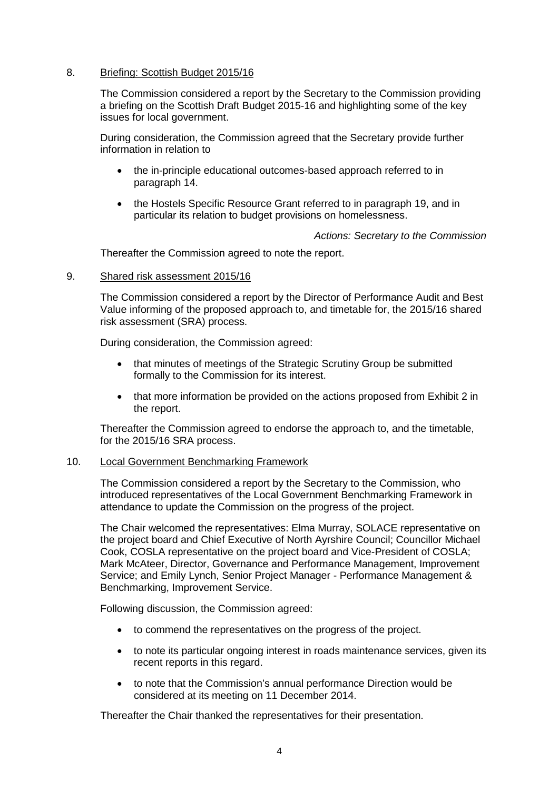# 8. Briefing: Scottish Budget 2015/16

The Commission considered a report by the Secretary to the Commission providing a briefing on the Scottish Draft Budget 2015-16 and highlighting some of the key issues for local government.

During consideration, the Commission agreed that the Secretary provide further information in relation to

- the in-principle educational outcomes-based approach referred to in paragraph 14.
- the Hostels Specific Resource Grant referred to in paragraph 19, and in particular its relation to budget provisions on homelessness.

*Actions: Secretary to the Commission*

Thereafter the Commission agreed to note the report.

### 9. Shared risk assessment 2015/16

The Commission considered a report by the Director of Performance Audit and Best Value informing of the proposed approach to, and timetable for, the 2015/16 shared risk assessment (SRA) process.

During consideration, the Commission agreed:

- that minutes of meetings of the Strategic Scrutiny Group be submitted formally to the Commission for its interest.
- that more information be provided on the actions proposed from Exhibit 2 in the report.

Thereafter the Commission agreed to endorse the approach to, and the timetable, for the 2015/16 SRA process.

### 10. Local Government Benchmarking Framework

The Commission considered a report by the Secretary to the Commission, who introduced representatives of the Local Government Benchmarking Framework in attendance to update the Commission on the progress of the project.

The Chair welcomed the representatives: Elma Murray, SOLACE representative on the project board and Chief Executive of North Ayrshire Council; Councillor Michael Cook, COSLA representative on the project board and Vice-President of COSLA; Mark McAteer, Director, Governance and Performance Management, Improvement Service; and Emily Lynch, Senior Project Manager - Performance Management & Benchmarking, Improvement Service.

Following discussion, the Commission agreed:

- to commend the representatives on the progress of the project.
- to note its particular ongoing interest in roads maintenance services, given its recent reports in this regard.
- to note that the Commission's annual performance Direction would be considered at its meeting on 11 December 2014.

Thereafter the Chair thanked the representatives for their presentation.